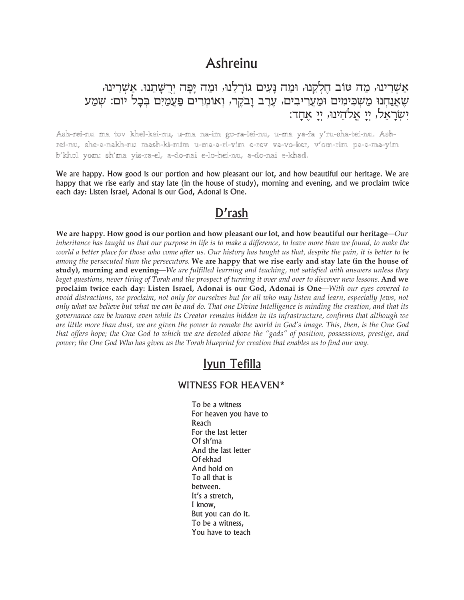## Ashreinu

אַשְרֵינוּ, מַה טוֹב חֱלְקֵנוּ, וּמַה נָעִים גוֹרָלֵנוּ, וּמַה יָפָה יִרְשָׁתֵנוּ. אַשְרֵינוּ, שָאֲנַחְנוּ מַשְׁכִּימִים וּמַעֲרִיבִים, עֲרֵב וַבֹקֵר, וְאוֹמִרִים פַּעֲמַיִם בִּכַל יוֹם: שְׁמַע יְשְׁרַאֵל, יְיַ אֲלֹהֵינוּ, יִי אַחֲד׃

Ash-rei-nu ma tov khel-kei-nu, u-ma na-im go-ra-lei-nu, u-ma ya-fa y'ru-sha-tei-nu. Ashrei-nu, she-a-nakh-nu mash-ki-mim u-ma-a-ri-vim e-rev va-vo-ker, v'om-rim pa-a-ma-yim b'khol yom: sh'ma yis-ra-el, a-do-nai e-lo-hei-nu, a-do-nai e-khad.

We are happy. How good is our portion and how pleasant our lot, and how beautiful our heritage. We are happy that we rise early and stay late (in the house of study), morning and evening, and we proclaim twice each day: Listen Israel, Adonai is our God, Adonai is One.

## D'rash

We are happy. How good is our portion and how pleasant our lot, and how beautiful our heritage— $Our$ inheritance has taught us that our purpose in life is to make a difference, to leave more than we found, to make the world a better place for those who come after us. Our history has taught us that, despite the pain, it is better to be among the persecuted than the persecutors. We are happy that we rise early and stay late (in the house of study), morning and evening—We are fulfilled learning and teaching, not satisfied with answers unless they beget questions, never tiring of Torah and the prospect of turning it over and over to discover new lessons. And we proclaim twice each day: Listen Israel, Adonai is our God, Adonai is One-With our eyes covered to avoid distractions, we proclaim, not only for ourselves but for all who may listen and learn, especially Jews, not only what we believe but what we can be and do. That one Divine Intelligence is minding the creation, and that its governance can be known even while its Creator remains hidden in its infrastructure, confirms that although we are little more than dust, we are given the power to remake the world in God's image. This, then, is the One God that offers hope; the One God to which we are devoted above the "gods" of position, possessions, prestige, and power; the One God Who has given us the Torah blueprint for creation that enables us to find our way.

## Ivun Tefilla

## **WITNESS FOR HEAVEN\***

To be a witness For heaven you have to Reach For the last letter Of sh'ma And the last letter Of ekhad And hold on To all that is between. It's a stretch, I know, But you can do it. To be a witness. You have to teach